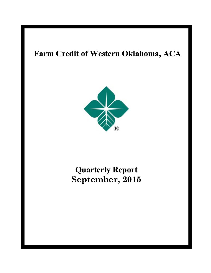# **Farm Credit of Western Oklahoma, ACA**



# **Quarterly Report September, 2015**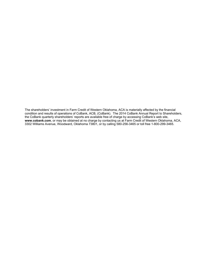The shareholders' investment in Farm Credit of Western Oklahoma, ACA is materially affected by the financial condition and results of operations of CoBank, ACB, (CoBank). The 2014 CoBank Annual Report to Shareholders, the CoBank quarterly shareholders' reports are available free of charge by accessing CoBank's web site, **www.cobank.com**, or may be obtained at no charge by contacting us at Farm Credit of Western Oklahoma, ACA, 3302 Williams Avenue, Woodward, Oklahoma 73801, or by calling 580-256-3465 or toll free 1-800-299-3465.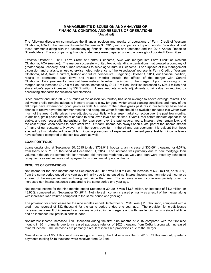## **MANAGEMENT'S DISCUSSION AND ANALYSIS OF FINANCIAL CONDITION AND RESULTS OF OPERATIONS**

(Unaudited)

The following discussion summarizes the financial position and results of operations of Farm Credit of Western Oklahoma, ACA for the nine months ended September 30, 2015, with comparisons to prior periods. You should read these comments along with the accompanying financial statements and footnotes and the 2014 Annual Report to Shareholders. The accompanying financial statements were prepared under the oversight of our Audit Committee.

Effective October 1, 2014, Farm Credit of Central Oklahoma, ACA was merged into Farm Credit of Western Oklahoma, ACA (merger). The merger successfully united two outstanding organizations that created a company of greater capital, capacity, and human resources to serve agriculture in Oklahoma. For purposes of this management discussion and analysis, unless otherwise noted, reference to "the Association" represents Farm Credit of Western Oklahoma, ACA, from a current, historic and future perspective. Beginning October 1, 2014, our financial position, results of operations, cash flows and related metrics include the effects of the merger with Central Oklahoma. Prior year results have not been restated to reflect the impact of the merger. Upon the closing of the merger, loans increased \$125.0 million, assets increased by \$131.7 million, liabilities increased by \$97.4 million and shareholder's equity increased by \$34.2 million. These amounts include adjustments to fair value, as required by accounting standards for business combinations.

Since quarter end June 30, 2015, much of the association territory has seen average to above average rainfall. The soil water profile remains adequate in many areas to allow for good winter wheat planting conditions and many of the fall crops have experienced good yields as well. A number of the native grass pastures in our territory have had a chance to recover over the summer months and adequate winter forage should be available for cattle this winter over much of the area. Cattle prices have adjusted substantially with a large market correction over the past few months. In addition, grain prices remain at or close to breakeven levels at this time. Overall, real estate markets appear to be stable, and not necessarily increasing at the rates seen over the past several years. Interest rates remain low, and the cost of production seems to have stabilized. Off-farm income has always been a vital part of the income stream of many of our customers. However, with the recent downturn in the oil and gas economy, it is evident that those affected by this industry will have off farm income pressures not experienced in recent years. Net farm income levels have softened compared to the last few years as well.

### **LOAN PORTFOLIO**

Loans outstanding at September 30, 2015 totaled \$702,012 thousand, an increase of \$30,661 thousand, or 4.57%, from loans of \$671,351 thousand at December 31, 2014. The increase was primarily due to new mortgage loan volume, although the commercial loan volume did increase moderately as well, and both were offset by scheduled repayments as well as seasonal repayments on commercial operating loans.

### **RESULTS OF OPERATIONS**

Net income for the nine months ended September 30, 2015 was \$7.9 million, an increase of \$3.2 million, or 69.09%, from the same period ended one year ago primarily due to increased net interest income and non-interest income as a result of the merger as well as loan growth since that time. The increase in net income was partially offset by increased non-interest expense compared to the same period one year ago.

Net interest income for the nine months ended September 30, 2015 was \$13.8 million, an increase of \$4.2 million, or 43.95%, compared with September 30, 2014. Net interest income increased primarily as a result of the merger along with increased loan volume compared to the same period one year ago.

The provision for credit losses for the nine months ended September 30, 2015 was \$116 thousand, compared with a credit loss reversal of \$32 thousand for the same period ended one year ago. The provision for credit losses increased as a result of increased loan volume acquired in the merger along with new lending activity since that time and an increased risk profile in certain loans.

Noninterest income increased \$700 thousand during the first nine months of 2015 compared with the first nine months in 2014 primarily due to increased patronage refunds of \$625 thousand from CoBank along with increased mineral income. The increases are primarily a result of increased proportions due to the merger.

Mineral income of \$581 thousand was recognized during the first nine months of 2015. Of this amount, quarterly payments totaling \$548 thousand were received from CoBank.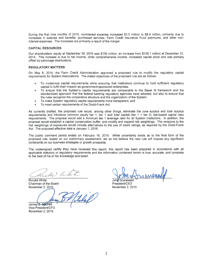During the first nine months of 2015, noninterest expense increased \$1.5 million to \$8.4 million, primarily due to increases in salaries and benefits, purchased services, Farm Credit Insurance Fund premiums, and other noninterest expenses. The increases are primarily a result of the merger.

#### **CAPITAL RESOURCES**

Our shareholders' equity at September 30, 2015 was \$136 million, an increase from \$128.1 million at December 31, 2014. This increase is due to net income, other comprehensive income, increased capital stock and was partially offset by patronage distributions.

### **REGULATORY MATTERS**

On May 8, 2014, the Farm Credit Administration approved a proposed rule to modify the regulatory capital requirements for System Associations. The stated objectives of the proposed rule are as follows:

- To modernize capital requirements while ensuring that institutions continue to hold sufficient regulatory capital to fulfill their mission as government-sponsored enterprises:
- To ensure that the System's capital requirements are comparable to the Basel III framework and the standardized approach that the federal banking regulatory agencies have adopted, but also to ensure that the rules recognize the cooperative structure and the organization of the System;
- To make System regulatory capital requirements more transparent; and
- To meet certain requirements of the Dodd-Frank Act.

As currently drafted, the proposed rule would, among other things, eliminate the core surplus and total surplus requirements and introduce common equity tier 1, tier 1 and total capital (tier  $1 +$  tier 2) risk-based capital ratio requirements. The proposal would add a minimum tier 1 leverage ratio for all System institutions. In addition, the proposal would establish a capital conservation buffer, and modify and expand risk weightings. The revisions to the risk weightings of exposures would include alternatives to the use of credit ratings, as required by the Dodd-Frank Act. The proposed effective date is January 1, 2016.

The public comment period ended on February 16, 2015. While uncertainty exists as to the final form of the proposed rule, based on our preliminary assessment, we do not believe the new rule will impose any significant constraints on our business strategies or growth prospects.

The undersigned certify they have reviewed this report, this report has been prepared in accordance with all applicable statutory or regulatory requirements and the information contained herein is true, accurate, and complete to the best of his or her knowledge and belief.

Honald ) le

Ronald White Chairman of the Board November 2, 2015

Jamey B. Mitchell

Vice President/CFO November 2, 2015

John Grunewald

President/CEO November 2, 2015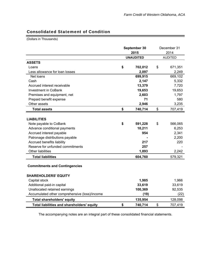÷

## Consolidated Statement of Condition

(Dollars in Thousands)

|                                               | September 30<br>2015 | December 31<br>2014 |
|-----------------------------------------------|----------------------|---------------------|
|                                               | <b>UNAUDITED</b>     | <b>AUDITED</b>      |
| <b>ASSETS</b>                                 |                      |                     |
| Loans                                         | \$<br>702,012        | \$<br>671,351       |
| Less allowance for loan losses                | 2,097                | 2,249               |
| Net loans                                     | 699,915              | 669,102             |
| Cash                                          | 2,147                | 5,332               |
| Accrued interest receivable                   | 13,379               | 7,720               |
| <b>Investment in CoBank</b>                   | 19,653               | 19,653              |
| Premises and equipment, net                   | 2,603                | 1,797               |
| Prepaid benefit expense                       | 71                   | 580                 |
| Other assets                                  | 2,946                | 3,235               |
| <b>Total assets</b>                           | \$<br>740,714        | \$<br>707,419       |
|                                               |                      |                     |
| <b>LIABILITIES</b>                            |                      |                     |
| Note payable to CoBank                        | \$<br>591,228        | \$<br>566,065       |
| Advance conditional payments                  | 10,211               | 6,253               |
| Accrued interest payable                      | 954                  | 2,341               |
| Patronage distributions payable               |                      | 2,200               |
| Accrued benefits liability                    | 217                  | 220                 |
| Reserve for unfunded commitments              | 257                  |                     |
| <b>Other liabilities</b>                      | 1,893                | 2,242               |
| <b>Total liabilities</b>                      | 604,760              | 579,321             |
| <b>Commitments and Contingencies</b>          |                      |                     |
| <b>SHAREHOLDERS' EQUITY</b>                   |                      |                     |
| Capital stock                                 | 1,985                | 1,966               |
| Additional paid-in capital                    | 33,619               | 33,619              |
| Unallocated retained earnings                 | 100,369              | 92,535              |
| Accumulated other comprehensive (loss)/income | (19)                 | (22)                |
| <b>Total shareholders' equity</b>             | 135,954              | 128,098             |
| Total liabilities and shareholders' equity    | \$<br>740,714        | \$<br>707,419       |

The accompanying notes are an integral part of these consolidated financial statements.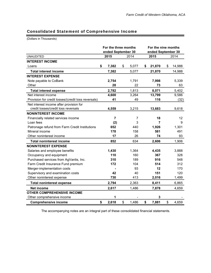### Consolidated Statement of Comprehensive Income

(Dollars in Thousands)

|                                                     | For the three months<br>ended September 30 |             | For the nine months<br>ended September 30 |              |
|-----------------------------------------------------|--------------------------------------------|-------------|-------------------------------------------|--------------|
| <b>UNAUDITED</b>                                    | 2015                                       | 2014        | 2015                                      | 2014         |
| <b>INTEREST INCOME</b>                              |                                            |             |                                           |              |
| Loans                                               | \$<br>7,382                                | \$<br>5,077 | \$<br>21,870                              | \$<br>14,988 |
| <b>Total interest income</b>                        | 7,382                                      | 5,077       | 21,870                                    | 14,988       |
| <b>INTEREST EXPENSE</b>                             |                                            |             |                                           |              |
| Note payable to CoBank                              | 2,754                                      | 1,791       | 7,998                                     | 5,339        |
| Other                                               | 28                                         | 22          | 73                                        | 63           |
| <b>Total interest expense</b>                       | 2,782                                      | 1,813       | 8,071                                     | 5,402        |
| Net interest income                                 | 4,600                                      | 3,264       | 13,799                                    | 9,586        |
| Provision for credit losses/(credit loss reversals) | 41                                         | 49          | 116                                       | (32)         |
| Net interest income after provision for             |                                            |             |                                           |              |
| credit losses/credit loss reversals                 | 4,559                                      | 3,215       | 13,683                                    | 9,618        |
| <b>NONINTEREST INCOME</b>                           |                                            |             |                                           |              |
| Financially related services income                 | $\overline{\mathbf{r}}$                    | 7           | 18                                        | 12           |
| Loan fees                                           | (2)                                        | 3           | $\overline{7}$                            | 9            |
| Patronage refund from Farm Credit Institutions      | 652                                        | 440         | 1,926                                     | 1,301        |
| Mineral income                                      | 178                                        | 158         | 581                                       | 491          |
| Other noninterest income                            | 17                                         | 26          | 74                                        | 93           |
| <b>Total noninterest income</b>                     | 852                                        | 634         | 2,606                                     | 1,906        |
| <b>NONINTEREST EXPENSE</b>                          |                                            |             |                                           |              |
| Salaries and employee benefits                      | 1,430                                      | 1,364       | 4,435                                     | 3,888        |
| Occupancy and equipment                             | 110                                        | 160         | 367                                       | 328          |
| Purchased services from AgVantis, Inc.              | 310                                        | 189         | 916                                       | 548          |
| Farm Credit Insurance Fund premium                  | 172                                        | 104         | 514                                       | 312          |
| Merger-implementation costs                         |                                            | 93          | 12                                        | 170          |
| Supervisory and examination costs                   | 42                                         | 40          | 151                                       | 120          |
| Other noninterest expense                           | 730                                        | 413         | 2,016                                     | 1,499        |
| <b>Total noninterest expense</b>                    | 2,794                                      | 2,363       | 8,411                                     | 6,865        |
| <b>Net income</b>                                   | 2,617                                      | 1,486       | 7,878                                     | 4,659        |
| <b>OTHER COMPREHENSIVE INCOME</b>                   |                                            |             |                                           |              |
| Other comprehensive income                          | 1                                          |             | 3                                         |              |
| <b>Comprehensive income</b>                         | \$<br>2,618                                | \$<br>1,486 | \$<br>7,881                               | \$<br>4,659  |

The accompanying notes are an integral part of these consolidated financial statements.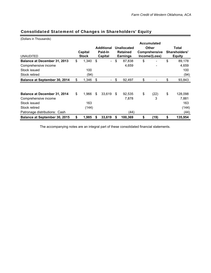| (Dollars in Thousands)               |    |              |    |                   |             |                 |              |                    |       |               |
|--------------------------------------|----|--------------|----|-------------------|-------------|-----------------|--------------|--------------------|-------|---------------|
|                                      |    |              |    |                   |             |                 |              | <b>Accumulated</b> |       |               |
|                                      |    |              |    | <b>Additional</b> | Unallocated |                 | <b>Other</b> |                    | Total |               |
|                                      |    | Capital      |    | Paid-In           |             | <b>Retained</b> |              | Comprehensive      |       | Shareholders' |
| <b>UNAUDITED</b>                     |    | <b>Stock</b> |    | Capital           |             | <b>Earnings</b> |              | Income/(Loss)      |       | <b>Equity</b> |
| Balance at December 31, 2013         | \$ | 1,340        | \$ |                   | \$          | 87,838          | \$           |                    | \$    | 89,178        |
| Comprehensive income                 |    |              |    |                   |             | 4,659           |              |                    |       | 4,659         |
| Stock issued                         |    | 100          |    |                   |             |                 |              |                    |       | 100           |
| Stock retired                        |    | (94)         |    |                   |             |                 |              |                    |       | (94)          |
| <b>Balance at September 30, 2014</b> | \$ | 1,346        | \$ |                   | \$          | 92,497          | \$           |                    | \$    | 93,843        |
|                                      |    |              |    |                   |             |                 |              |                    |       |               |
| Balance at December 31, 2014         | \$ | 1,966        | \$ | 33,619            | \$          | 92,535          | \$           | (22)               | \$    | 128,098       |
| Comprehensive income                 |    |              |    |                   |             | 7,878           |              | 3                  |       | 7,881         |
| Stock issued                         |    | 163          |    |                   |             |                 |              |                    |       | 163           |
| Stock retired                        |    | (144)        |    |                   |             |                 |              |                    |       | (144)         |
| Patronage distributions: Cash        |    |              |    |                   |             | (44)            |              |                    |       | (44)          |
| <b>Balance at September 30, 2015</b> | \$ | 1,985        | S  | 33,619            | \$          | 100,369         | \$           | (19)               | \$    | 135,954       |

# Consolidated Statement of Changes in Shareholders' Equity

The accompanying notes are an integral part of these consolidated financial statements.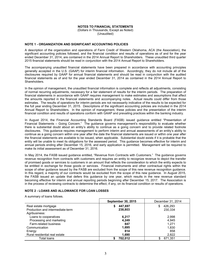### **NOTES TO FINANCIAL STATEMENTS**

(Dollars in Thousands, Except as Noted) (Unaudited)

### **NOTE 1 - ORGANIZATION AND SIGNIFICANT ACCOUNTING POLICIES**

A description of the organization and operations of Farm Credit of Western Oklahoma, ACA (the Association), the significant accounting policies followed, and the financial condition and results of operations as of and for the year ended December 31, 2014, are contained in the 2014 Annual Report to Shareholders. These unaudited third quarter 2015 financial statements should be read in conjunction with the 2014 Annual Report to Shareholders.

The accompanying unaudited financial statements have been prepared in accordance with accounting principles generally accepted in the U.S. (GAAP) for interim financial information. Accordingly, they do not include all of the disclosures required by GAAP for annual financial statements and should be read in conjunction with the audited financial statements as of and for the year ended December 31, 2014 as contained in the 2014 Annual Report to Shareholders.

In the opinion of management, the unaudited financial information is complete and reflects all adjustments, consisting of normal recurring adjustments, necessary for a fair statement of results for the interim periods. The preparation of financial statements in accordance with GAAP requires management to make estimates and assumptions that affect the amounts reported in the financial statements and accompanying notes. Actual results could differ from those estimates. The results of operations for interim periods are not necessarily indicative of the results to be expected for the full year ending December 31, 2015. Descriptions of the significant accounting policies are included in the 2014 Annual Report to Shareholders. In the opinion of management, these policies and the presentation of the interim financial condition and results of operations conform with GAAP and prevailing practices within the banking industry.

In August 2014, the Financial Accounting Standards Board (FASB) issued guidance entitled "Presentation of Financial Statements – Going Concern." The guidance governs management's responsibility to evaluate whether there is substantial doubt about an entity's ability to continue as a going concern and to provide related footnote disclosures. This guidance requires management to perform interim and annual assessments of an entity's ability to continue as a going concern within one year after the date the financial statements are issued or within one year after the financial statements are available to be issued, when applicable. Substantial doubt exists if it is probable that the entity will be unable to meet its obligations for the assessed period. This guidance becomes effective for interim and annual periods ending after December 15, 2016, and early application is permitted. Management will be required to make its initial assessment as of December 31, 2016.

In May 2014, the FASB issued guidance entitled, "Revenue from Contracts with Customers." The guidance governs revenue recognition from contracts with customers and requires an entity to recognize revenue to depict the transfer of promised goods or services to customers in an amount that reflects the consideration to which the entity expects to be entitled in exchange for those goods or services. Financial instruments and other contractual rights within the scope of other guidance issued by the FASB are excluded from the scope of this new revenue recognition guidance. In this regard, a majority of our contracts would be excluded from the scope of this new quidance. In August 2015, the FASB issued an update that defers this guidance by one year, which results in the new revenue standard becoming effective for interim and annual reporting periods beginning after December 15, 2017. The Association is in the process of reviewing contracts to determine the effect, if any, on its financial condition or results of operations.

### **NOTE 2 - LOANS AND ALLOWANCE FOR LOAN LOSSES**

A summary of loans follows.

|                                  | <b>September 30, 2015</b> | December 31, 2014 |
|----------------------------------|---------------------------|-------------------|
| Real estate mortgage             | 447.697                   | 426,293           |
| Production and intermediate-term | 238,803                   | 230.334           |
| Agribusiness:                    |                           |                   |
| Loans to cooperatives            | 6.217                     | 2,998             |
| Processing and marketing         | 4.249                     | 4.945             |
| Farm-related business            | 847                       | 1.271             |
| Communication                    | 1,695                     | 1,830             |
| Energy                           | 814                       | 858               |
| Rural residential real estate    | 1,690                     | 2,822             |
| Total loans                      | 702,012                   | 671,351           |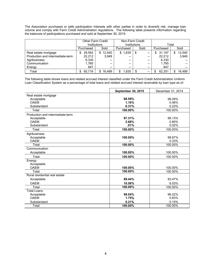The Association purchases or sells participation interests with other parties in order to diversify risk, manage loan volume and comply with Farm Credit Administration regulations. The following table presents information regarding the balances of participations purchased and sold at September 30, 2015:

|                                  |             | <b>Other Farm Credit</b> |            | Non-Farm Credit          |              |             |  |  |  |
|----------------------------------|-------------|--------------------------|------------|--------------------------|--------------|-------------|--|--|--|
|                                  |             | Institutions             |            | Institutions             | Total        |             |  |  |  |
|                                  | Purchased   | Sold                     | Purchased  | Sold                     | Purchased    | Sold        |  |  |  |
| Real estate mortgage             | 29.562<br>S | 12,540<br>S.             | 1,635<br>S | \$<br>--                 | 31,197<br>\$ | 12,540      |  |  |  |
| Production and intermediate-term | 22.212      | 3.949                    | --         | --                       | 22.212       | 3,949       |  |  |  |
| Agribusiness                     | 6,330       | --                       | $- -$      | --                       | 6,330        |             |  |  |  |
| Communication                    | 1,765       | $- -$                    | $- -$      | --                       | 1,765        |             |  |  |  |
| Energy                           | 847         | --                       | $- -$      | --                       | 847          |             |  |  |  |
| Total                            | 60.716      | 16.489                   | .635       | $\hspace{0.05cm} \cdots$ | 62.351       | 16.489<br>S |  |  |  |

The following table shows loans and related accrued interest classified under the Farm Credit Administration Uniform Loan Classification System as a percentage of total loans and related accrued interest receivable by loan type as of:

|                                  | <b>September 30, 2015</b> | December 31, 2014 |
|----------------------------------|---------------------------|-------------------|
| Real estate mortgage             |                           |                   |
| Acceptable                       | 98.59%                    | 99.29%            |
| <b>OAFM</b>                      | 1.10%                     | 0.48%             |
| Substandard                      | 0.31%                     | 0.23%             |
| Total                            | 100.00%                   | 100.00%           |
| Production and intermediate-term |                           |                   |
| Acceptable                       | 97.31%                    | 99.13%            |
| <b>OAFM</b>                      | 2.68%                     | 0.85%             |
| Substandard                      | .01%                      | 0.02%             |
| Total                            | 100.00%                   | 100.00%           |
| Agribusiness                     |                           |                   |
| Acceptable                       | 100.00%                   | 99.67%            |
| <b>OAEM</b>                      |                           | 0.33%             |
| Total                            | 100.00%                   | 100.00%           |
| Communication                    |                           |                   |
| Acceptable                       | 100.00%                   | 100.00%           |
| Total                            | 100.00%                   | 100.00%           |
| Energy                           |                           |                   |
| Acceptable                       |                           |                   |
| <b>OAEM</b>                      | 100.00%                   | 100.00%           |
| Total                            | 100.00%                   | 100.00%           |
| Rural residential real estate    |                           |                   |
| Acceptable                       | 89.44%                    | 93.47%            |
| <b>OAEM</b>                      | 10.56%                    | 6.53%             |
| Total                            | 100.00%                   | 100.00%           |
| <b>Total Loans</b>               |                           |                   |
| Acceptable                       | 98.04%                    | 99.22%            |
| <b>OAEM</b>                      | 1.75%                     | 0.63%             |
| Substandard                      | 0.21%                     | 0.15%             |
| Total                            | 100.00%                   | 100.00%           |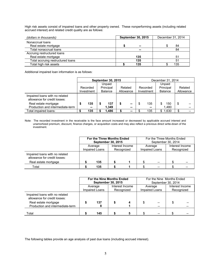High risk assets consist of impaired loans and other property owned. These nonperforming assets (including related accrued interest) and related credit quality are as follows:

| (dollars in thousands)            | <b>September 30, 2015</b> | December 31, 2014 |
|-----------------------------------|---------------------------|-------------------|
| Nonaccrual loans                  |                           |                   |
| Real estate mortgage              | $\sim$                    | 84                |
| Total nonaccrual loans            | --                        | 84                |
| Accruing restructured loans       |                           |                   |
| Real estate mortgage              | 135                       | 51                |
| Total accruing restructured loans | 135                       | 51                |
| Total high risk assets            | 135                       | 135               |

Additional impaired loan information is as follows:

|                                                                |   |            | <b>September 30, 2015</b> |  | December 31, 2014 |          |            |         |           |           |  |
|----------------------------------------------------------------|---|------------|---------------------------|--|-------------------|----------|------------|---------|-----------|-----------|--|
|                                                                |   |            | Unpaid                    |  |                   |          |            | Unpaid  |           |           |  |
|                                                                |   | Recorded   | Principal                 |  | Related           | Recorded |            |         | Principal | Related   |  |
|                                                                |   | Investment | <b>Balance</b>            |  | Allowance         |          | Investment | Balance |           | Allowance |  |
| Impaired loans with no related<br>allowance for credit losses: |   |            |                           |  |                   |          |            |         |           |           |  |
| Real estate mortgage                                           | S | 135        | 137                       |  | --                | S        | 135        |         | 150       | \$        |  |
| Production and intermediate-term                               |   | $\sim$     | 1.349                     |  | --                |          | --         |         | 1.480     |           |  |
| Total impaired loans:                                          |   | 135        | 1.486                     |  | --                |          | 135        | \$      | 1,630     | \$        |  |

Note: The recorded investment in the receivable is the face amount increased or decreased by applicable accrued interest and unamortized premium, discount, finance charges, or acquisition costs and may also reflect a previous direct write-down of the investment.

|                                                                |                              | For the Three Months Ended |  |                 | For the Three Months Ended |                |                 |    |  |
|----------------------------------------------------------------|------------------------------|----------------------------|--|-----------------|----------------------------|----------------|-----------------|----|--|
|                                                                |                              | <b>September 30, 2015</b>  |  |                 | September 30, 2014         |                |                 |    |  |
|                                                                |                              | Average                    |  | Interest Income |                            | Average        | Interest Income |    |  |
|                                                                | Impaired Loans<br>Recognized |                            |  |                 |                            | Impaired Loans | Recognized      |    |  |
| Impaired loans with no related<br>allowance for credit losses: |                              |                            |  |                 |                            |                |                 |    |  |
| Real estate mortgage                                           |                              | 135                        |  |                 |                            | $- -$          |                 | -- |  |
| Total                                                          |                              | 135                        |  |                 |                            |                |                 |    |  |

|                                                                |     | For the Nine Months Ended<br><b>September 30, 2015</b> |                               |   | For the Nine Months Ended<br>September 30, 2014 |                               |  |
|----------------------------------------------------------------|-----|--------------------------------------------------------|-------------------------------|---|-------------------------------------------------|-------------------------------|--|
|                                                                |     | Average<br>Impaired Loans                              | Interest Income<br>Recognized |   | Average<br>Impaired Loans                       | Interest Income<br>Recognized |  |
| Impaired loans with no related<br>allowance for credit losses: |     |                                                        |                               |   |                                                 |                               |  |
| Real estate mortgage<br>Production and intermediate-term       |     | 137                                                    |                               | S |                                                 |                               |  |
| Total                                                          | 145 |                                                        |                               |   |                                                 |                               |  |

The following tables provide an age analysis of past due loans (including accrued interest).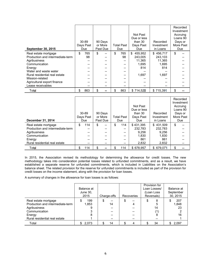| <b>September 30, 2015</b>        | $30 - 89$<br>Days Past<br>Due | 90 Days<br>or More<br>Past Due | Total Past<br>Due | Not Past<br>Due or less<br>than $30$<br>Days Past<br><b>Due</b> | Recorded<br>Investment<br>in Loans | Recorded<br>Investment<br>Accruing<br>Loans 90<br>Days or<br>More Past<br>Due |
|----------------------------------|-------------------------------|--------------------------------|-------------------|-----------------------------------------------------------------|------------------------------------|-------------------------------------------------------------------------------|
| Real estate mortgage             | \$<br>765                     | \$                             | \$<br>765         | 455,952<br>\$                                                   | 456,717<br>\$                      | \$                                                                            |
| Production and intermediate-term | 98                            | --                             | 98                | 243,005                                                         | 243,103                            |                                                                               |
| Agribusiness                     |                               |                                | --                | 11.365                                                          | 11.365                             |                                                                               |
| Communication                    |                               |                                | --                | 1.695                                                           | 1,695                              |                                                                               |
| Energy                           |                               |                                | --                | 814                                                             | 814                                |                                                                               |
| Water and waste water            |                               |                                | --                |                                                                 |                                    |                                                                               |
| Rural residential real estate    |                               |                                |                   | 1,697                                                           | 1,697                              |                                                                               |
| Mission-related                  |                               |                                | --                | --                                                              |                                    |                                                                               |
| Agricultural export finance      |                               |                                | --                | --                                                              |                                    |                                                                               |
| Lease receivables                |                               | --                             | --                | --                                                              | --                                 |                                                                               |
| Total                            | \$<br>863                     | \$                             | \$<br>863         | \$714,528                                                       | \$715,391                          | \$                                                                            |

| December 31, 2014                | 30-89<br>Days Past<br><b>Due</b> |    | 90 Days<br>or More<br>Past Due | <b>Total Past</b><br>Due | Not Past<br>Due or less<br>than 30<br>Days Past<br><b>Due</b> | Recorded<br>Investment<br>in Loans | Recorded<br>Investment<br>Accruing<br>Loans 90<br>Days or<br>More Past<br>Due |
|----------------------------------|----------------------------------|----|--------------------------------|--------------------------|---------------------------------------------------------------|------------------------------------|-------------------------------------------------------------------------------|
| Real estate mortgage             | \$<br>114                        | \$ | --                             | \$<br>114                | \$431.395                                                     | 431.509<br>\$                      | \$                                                                            |
| Production and intermediate-term | --                               |    |                                | --                       | 232.783                                                       | 232.783                            |                                                                               |
| Agribusiness                     | --                               |    | --                             | --                       | 9,256                                                         | 9.256                              |                                                                               |
| Communication                    |                                  |    |                                | --                       | 1,830                                                         | 1.830                              |                                                                               |
| Energy                           |                                  |    |                                | --                       | 861                                                           | 861                                |                                                                               |
| Rural residential real estate    | --                               |    | --                             | --                       | 2,832                                                         | 2,832                              |                                                                               |
| Total                            | \$<br>114                        | S  |                                | \$<br>114                | \$678.957                                                     | \$679.071                          | \$                                                                            |

In 2015, the Association revised its methodology for determining the allowance for credit losses. The new methodology takes into consideration potential losses related to unfunded commitments, and as a result, we have established a separate reserve for unfunded commitments, which is included in Liabilities on the Association's balance sheet. The related provision for the reserve for unfunded commitments is included as part of the provision for credit losses on the income statement, along with the provision for loan losses.

A summary of changes in the allowance for loan losses is as follows:

|                                                                                                     | Balance at<br>June 30,<br>2015 | Charge-offs    | Recoveries   | Provision for<br>Loan Losses/<br>(Loan Loss<br>Reversals) | Balance at<br>September<br>30, 2015 |
|-----------------------------------------------------------------------------------------------------|--------------------------------|----------------|--------------|-----------------------------------------------------------|-------------------------------------|
| Real estate mortgage<br>Production and intermediate-term<br>Agribusiness<br>Communication<br>Energy | 199<br>1,853                   | \$<br>--<br>14 | S<br>--<br>4 | 8<br>\$<br>5<br>14<br>8                                   | 207<br>1,848<br>23<br>16            |
| Rural residential real estate                                                                       |                                |                |              |                                                           |                                     |
| Total                                                                                               | 2,073                          | 14             |              | 34                                                        | 2,097                               |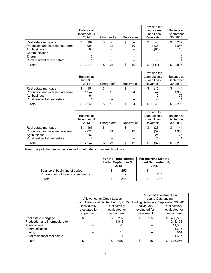|                                                                                                                                      | Balance at<br>December 31.<br>2014 | Charge-offs | Recoveries    | Provision for<br>Loan Losses/<br>(Loan Loss<br>Reversals) | Balance at<br>September<br>30, 2015 |
|--------------------------------------------------------------------------------------------------------------------------------------|------------------------------------|-------------|---------------|-----------------------------------------------------------|-------------------------------------|
| Real estate mortgage<br>Production and intermediate-term<br>Agribusiness<br>Communication<br>Energy<br>Rural residential real estate | 167<br>S<br>1,994<br>84            | \$<br>21    | Φ<br>--<br>10 | 40<br>S<br>(135)<br>(61)<br>14                            | 207<br>1,848<br>23<br>16            |
| Total                                                                                                                                | \$2,249                            | 21          | 10            | (141)<br>S.                                               | \$2,097                             |

|                                                                                                           | Balance at<br>June 30,<br>2014 | Charge-offs         | Recoveries | Provision for<br>Loan Losses/<br>(Loan Loss<br>Reversals) | Balance at<br>September<br>30, 2014 |
|-----------------------------------------------------------------------------------------------------------|--------------------------------|---------------------|------------|-----------------------------------------------------------|-------------------------------------|
| Real estate mortgage<br>Production and intermediate-term<br>Agribusiness<br>Rural residential real estate | 154<br>1.947<br>64             | S<br>--<br>13<br>-- | \$<br>--   | (10)<br>\$<br>47<br>12<br>--                              | 144<br>1.985<br>76                  |
| Total                                                                                                     | \$2.166                        | 13                  |            | 49                                                        | 2,206                               |

|                                                                                                           | Balance at<br>December 31.<br>2013 | Charge-offs | Recoveries     | Provision for<br>Loan Losses/<br>(Loan Loss)<br>Reversals) | Balance at<br>September<br>30, 2014 |
|-----------------------------------------------------------------------------------------------------------|------------------------------------|-------------|----------------|------------------------------------------------------------|-------------------------------------|
| Real estate mortgage<br>Production and intermediate-term<br>Agribusiness<br>Rural residential real estate | 167<br>2,026<br>52                 | 21<br>--    | --<br>12<br>-- | (23)<br>\$<br>(32)<br>24                                   | 144<br>1,985<br>76                  |
| Total                                                                                                     | \$2.247                            | 21          | 12             | (32)                                                       | 2,206                               |

A summary of changes in the reserve for unfunded commitments follows:

|                                                                     | <b>For the Three Months</b><br><b>Ended September 30,</b><br>2015 | <b>For the Nine Months</b><br><b>Ended September 30.</b><br>2015 |           |  |
|---------------------------------------------------------------------|-------------------------------------------------------------------|------------------------------------------------------------------|-----------|--|
| Balance at beginning of period<br>Provision of unfunded commitments | 250                                                               |                                                                  | --<br>257 |  |
| ⊺otal                                                               | 257                                                               |                                                                  | 257       |  |

|                                  |                                      |               | Recorded Investments in |                                      |  |  |
|----------------------------------|--------------------------------------|---------------|-------------------------|--------------------------------------|--|--|
|                                  | Allowance for Credit Losses          |               |                         | Loans Outstanding                    |  |  |
|                                  | Ending Balance at September 30, 2015 |               |                         | Ending Balance at September 30, 2015 |  |  |
|                                  | Individually                         | Collectively  | Individually            | Collectively                         |  |  |
|                                  | evaluated for                        | evaluated for | evaluated for           | evaluated for                        |  |  |
|                                  | impairment                           | impairment    |                         | impairment                           |  |  |
| Real estate mortgage             |                                      | 207           | 135<br>S                | 456,582                              |  |  |
| Production and intermediate-term |                                      | 1,848         |                         | 243,103                              |  |  |
| Agribusiness                     |                                      | 23            |                         | 11,365                               |  |  |
| Communication                    |                                      |               |                         | 1,695                                |  |  |
| Energy                           |                                      | 16            |                         | 814                                  |  |  |
| Rural residential real estate    |                                      |               |                         | 1,697                                |  |  |
| Total                            |                                      | 2,097         | 135                     | 715,256                              |  |  |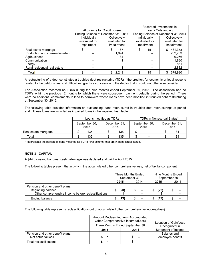|                                                                                                                                      | Allowance for Credit Losses                                                                                                       |                    | Recorded Investments in<br>Loans Outstanding<br>Ending Balance at December 31, 2014 |                                                      |  |
|--------------------------------------------------------------------------------------------------------------------------------------|-----------------------------------------------------------------------------------------------------------------------------------|--------------------|-------------------------------------------------------------------------------------|------------------------------------------------------|--|
|                                                                                                                                      | Ending Balance at December 31, 2014<br>Individually<br>Collectively<br>evaluated for<br>evaluated for<br>impairment<br>impairment |                    | Individually<br>evaluated for<br>impairment                                         | Collectively<br>evaluated for<br>impairment          |  |
| Real estate mortgage<br>Production and intermediate-term<br>Agribusiness<br>Communication<br>Energy<br>Rural residential real estate | \$                                                                                                                                | 167<br>1.994<br>84 | 151<br>\$                                                                           | 431,358<br>232,783<br>9,256<br>1,830<br>861<br>2,832 |  |
| Total                                                                                                                                |                                                                                                                                   | \$2,249            | \$<br>151                                                                           | 678,920                                              |  |

A restructuring of a debt constitutes a troubled debt restructuring (TDR) if the creditor, for economic or legal reasons related to the debtor's financial difficulties, grants a concession to the debtor that it would not otherwise consider.

The Association recorded no TDRs during the nine months ended September 30, 2015. The association had no TDR's within the previous 12 months for which there were subsequent payment defaults during the period. There were no additional commitments to lend to borrowers whose loans have been modified in troubled debt restructuring at September 30, 2015.

The following table provides information on outstanding loans restructured in troubled debt restructurings at period end. These loans are included as impaired loans in the impaired loan table.

|                      | Loans modified as TDRs                        |     |                       |     | <b>TDRs in Nonaccrual Status*</b> |                |  |    |
|----------------------|-----------------------------------------------|-----|-----------------------|-----|-----------------------------------|----------------|--|----|
|                      | September 30,<br>December 31.<br>2015<br>2014 |     | September 30,<br>2015 |     | December 31,<br>2014              |                |  |    |
| Real estate mortgage |                                               | 135 |                       | 135 |                                   | $\overline{a}$ |  | 84 |
| Total                |                                               | 135 |                       | 135 |                                   | $- -$          |  | 84 |

\* Represents the portion of loans modified as TDRs (first column) that are in nonaccrual status.

### **NOTE 3 - CAPITAL**

A \$44 thousand borrower cash patronage was declared and paid in April 2015.

The following tables present the activity in the accumulated other comprehensive loss, net of tax by component:

|                                                                                                              |      | Three Months Ended<br>September 30 |      | Nine Months Ended<br>September 30 |
|--------------------------------------------------------------------------------------------------------------|------|------------------------------------|------|-----------------------------------|
|                                                                                                              | 2015 | 2014                               | 2015 | 2014                              |
| Pension and other benefit plans:<br>Beginning balance<br>Other comprehensive income before reclassifications | (20) |                                    | (22) |                                   |
| Ending balance                                                                                               | (19) |                                    | (19  |                                   |

The following table represents reclassifications out of accumulated other comprehensive income/(loss).

|                                  | Amount Reclassified from Accumulated<br>Other Comprehensive Income/(Loss) | Location of Gain/Loss |                     |
|----------------------------------|---------------------------------------------------------------------------|-----------------------|---------------------|
|                                  | Three Months Ended September 30                                           | Recognized in         |                     |
|                                  | 2015                                                                      | 2014                  | Statement of Income |
| Pension and other benefit plans: |                                                                           |                       | Salaries and        |
| Net actuarial loss               |                                                                           | $-$                   | employee benefit    |
| Total reclassifications          |                                                                           |                       |                     |